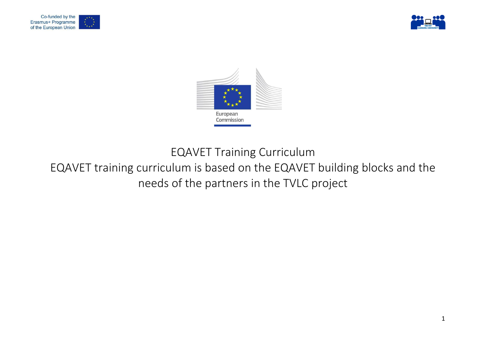





EQAVET Training Curriculum

# EQAVET training curriculum is based on the EQAVET building blocks and the needs of the partners in the TVLC project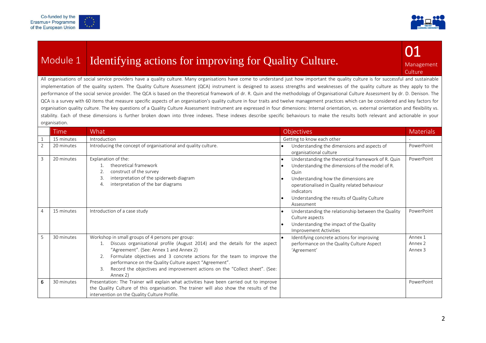



# Module 1 Identifying actions for improving for Quality Culture.

Management **Culture** 

01

All organisations of social service providers have a quality culture. Many organisations have come to understand just how important the quality culture is for successful and sustainable implementation of the quality system. The Quality Culture Assessment (QCA) instrument is designed to assess strengths and weaknesses of the quality culture as they apply to the performance of the social service provider. The QCA is based on the theoretical framework of dr. R. Quin and the methodology of Organisational Culture Assessment by dr. D. Denison. The QCA is a survey with 60 items that measure specific aspects of an organisation's quality culture in four traits and twelve management practices which can be considered and key factors for organisation quality culture. The key questions of a Quality Culture Assessment Instrument are expressed in four dimensions: Internal orientation, vs. external orientation and flexibility vs. stability. Each of these dimensions is further broken down into three indexes. These indexes describe specific behaviours to make the results both relevant and actionable in your organisation.

|                | <b>Time</b> | What                                                                                                                                                                                                                                                                                                                                                                                                             | Objectives                                                                                                                                                                                                                                                                        | <b>Materials</b>                         |
|----------------|-------------|------------------------------------------------------------------------------------------------------------------------------------------------------------------------------------------------------------------------------------------------------------------------------------------------------------------------------------------------------------------------------------------------------------------|-----------------------------------------------------------------------------------------------------------------------------------------------------------------------------------------------------------------------------------------------------------------------------------|------------------------------------------|
|                | 15 minutes  | Introduction                                                                                                                                                                                                                                                                                                                                                                                                     | Getting to know each other                                                                                                                                                                                                                                                        |                                          |
| 2              | 20 minutes  | Introducing the concept of organisational and quality culture.                                                                                                                                                                                                                                                                                                                                                   | Understanding the dimensions and aspects of<br>organisational culture                                                                                                                                                                                                             | PowerPoint                               |
| 3              | 20 minutes  | Explanation of the:<br>theoretical framework<br>construct of the survey<br>2.<br>interpretation of the spiderweb diagram<br>3.<br>interpretation of the bar diagrams<br>4.                                                                                                                                                                                                                                       | Understanding the theoretical framework of R. Quin<br>Understanding the dimensions of the model of R.<br>Quin<br>Understanding how the dimensions are<br>operationalised in Quality related behaviour<br>indicators<br>Understanding the results of Quality Culture<br>Assessment | PowerPoint                               |
| $\overline{4}$ | 15 minutes  | Introduction of a case study                                                                                                                                                                                                                                                                                                                                                                                     | Understanding the relationship between the Quality<br>Culture aspects<br>Understanding the impact of the Quality<br><b>Improvement Activities</b>                                                                                                                                 | PowerPoint                               |
| 5              | 30 minutes  | Workshop in small groups of 4 persons per group:<br>Discuss organisational profile (August 2014) and the details for the aspect<br>"Agreement". (See: Annex 1 and Annex 2)<br>Formulate objectives and 3 concrete actions for the team to improve the<br>performance on the Quality Culture aspect "Agreement".<br>Record the objectives and improvement actions on the "Collect sheet". (See:<br>3.<br>Annex 2) | Identifying concrete actions for improving<br>performance on the Quality Culture Aspect<br>'Agreement'                                                                                                                                                                            | Annex 1<br>Annex 2<br>Annex <sub>3</sub> |
| 6              | 30 minutes  | Presentation: The Trainer will explain what activities have been carried out to improve<br>the Quality Culture of this organisation. The trainer will also show the results of the<br>intervention on the Quality Culture Profile.                                                                                                                                                                               |                                                                                                                                                                                                                                                                                   | PowerPoint                               |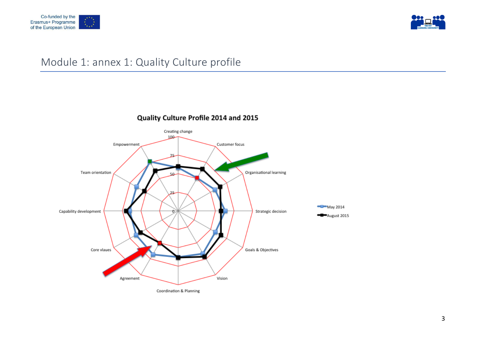



## Module 1: annex 1: Quality Culture profile



Quality Culture Profile 2014 and 2015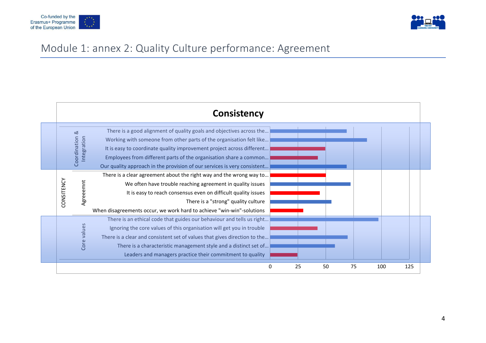



# Module 1: annex 2: Quality Culture performance: Agreement

|            |                                 | <b>Consistency</b>                                                                                                                                                                                                                                                                                                                                                    |
|------------|---------------------------------|-----------------------------------------------------------------------------------------------------------------------------------------------------------------------------------------------------------------------------------------------------------------------------------------------------------------------------------------------------------------------|
|            | ಹ<br>Coordination<br>ntegration | There is a good alignment of quality goals and objectives across the<br>Working with someone from other parts of the organisation felt like<br>It is easy to coordinate quality improvement project across different<br>Employees from different parts of the organisation share a common<br>Our quality approach in the provision of our services is very consistent |
| CONSITENCY | greeemnt                        | There is a clear agreement about the right way and the wrong way to<br>We often have trouble reaching agreement in quality issues<br>It is easy to reach consensus even on difficult quality issues<br>There is a "strong" quality culture<br>When disagreements occur, we work hard to achieve "win-win"-solutions                                                   |
|            | Core values                     | There is an ethical code that guides our behaviour and tells us right<br>Ignoring the core values of this organisation will get you in trouble<br>There is a clear and consistent set of values that gives direction to the<br>There is a characteristic management style and a distinct set of<br>Leaders and managers practice their commitment to quality          |
|            |                                 | 25<br>100<br>50<br>75<br>125<br>0                                                                                                                                                                                                                                                                                                                                     |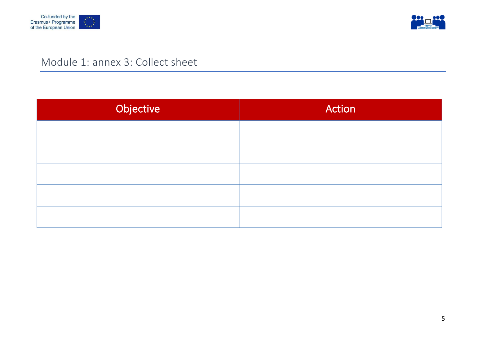



# Module 1: annex 3: Collect sheet

| Objective | Action |
|-----------|--------|
|           |        |
|           |        |
|           |        |
|           |        |
|           |        |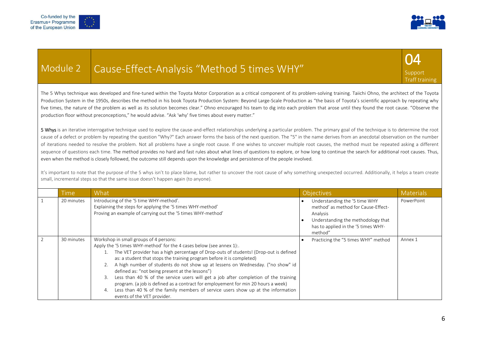

# Module 2 | Cause-Effect-Analysis "Method 5 times WHY"



The 5 Whys technique was developed and fine-tuned within the Toyota Motor Corporation as a critical component of its problem-solving training. Taiichi Ohno, the architect of the Toyota Production System in the 1950s, describes the method in his book Toyota Production System: Beyond Large-Scale Production as "the basis of Toyota's scientific approach by repeating why five times, the nature of the problem as well as its solution becomes clear." Ohno encouraged his team to dig into each problem that arose until they found the root cause. "Observe the production floor without preconceptions," he would advise. "Ask 'why' five times about every matter."

5 Whys is an iterative interrogative technique used to explore the cause-and-effect relationships underlying a particular problem. The primary goal of the technique is to determine the root cause of a defect or problem by repeating the question "Why?" Each answer forms the basis of the next question. The "5" in the name derives from an anecdotal observation on the number of iterations needed to resolve the problem. Not all problems have a single root cause. If one wishes to uncover multiple root causes, the method must be repeated asking a different sequence of questions each time. The method provides no hard and fast rules about what lines of questions to explore, or how long to continue the search for additional root causes. Thus, even when the method is closely followed, the outcome still depends upon the knowledge and persistence of the people involved.

It's important to note that the purpose of the 5 whys isn't to place blame, but rather to uncover the root cause of why something unexpected occurred. Additionally, it helps a team create small, incremental steps so that the same issue doesn't happen again (to anyone).

| <b>Time</b> | What                                                                                                                                                                                                                                                                                                                                                                                                                                                                                                                                                                                                                                                                                                                                | Objectives                                                                                                                                                               | <b>Materials</b> |
|-------------|-------------------------------------------------------------------------------------------------------------------------------------------------------------------------------------------------------------------------------------------------------------------------------------------------------------------------------------------------------------------------------------------------------------------------------------------------------------------------------------------------------------------------------------------------------------------------------------------------------------------------------------------------------------------------------------------------------------------------------------|--------------------------------------------------------------------------------------------------------------------------------------------------------------------------|------------------|
| 20 minutes  | Introducing of the '5 time WHY-method'.<br>Explaining the steps for applying the '5 times WHY-method'<br>Proving an example of carrying out the '5 times WHY-method'                                                                                                                                                                                                                                                                                                                                                                                                                                                                                                                                                                | Understanding the '5 time WHY<br>method' as method for Cause-Effect-<br>Analysis<br>Understanding the methodology that<br>has to applied in the '5 times WHY-<br>method" | PowerPoint       |
| 30 minutes  | Workshop in small groups of 4 persons:<br>Apply the '5 times WHY-method' for the 4 cases below (see annex 1):<br>The VET provider has a high percentage of Drop-outs of students! (Drop-out is defined<br>as: a student that stops the training program before it is completed)<br>2. A high number of students do not show up at lessens on Wednesday. ("no show" id<br>defined as: "not being present at the lessons")<br>Less than 40 % of the service users will get a job after completion of the training<br>3.<br>program. (a job is defined as a contract for employement for min 20 hours a week)<br>Less than 40 % of the family members of service users show up at the information<br>4.<br>events of the VET provider. | Practicing the "5 times WHY" method                                                                                                                                      | Annex 1          |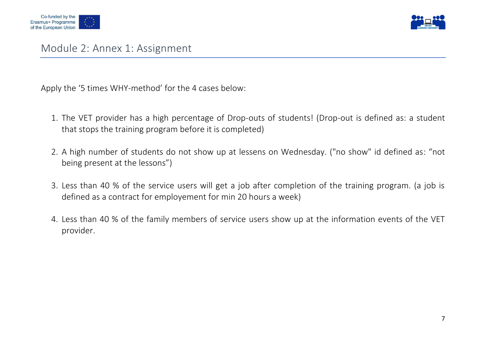



Apply the '5 times WHY-method' for the 4 cases below:

- 1. The VET provider has a high percentage of Drop-outs of students! (Drop-out is defined as: a student that stops the training program before it is completed)
- 2. A high number of students do not show up at lessens on Wednesday. ("no show" id defined as: "not being present at the lessons")
- 3. Less than 40 % of the service users will get a job after completion of the training program. (a job is defined as a contract for employement for min 20 hours a week)
- 4. Less than 40 % of the family members of service users show up at the information events of the VET provider.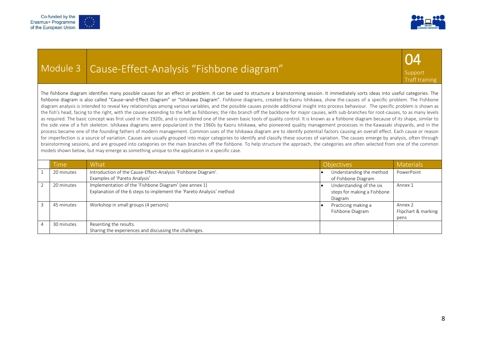



### Module 3 Cause-Effect-Analysis "Fishbone diagram"



The fishbone diagram identifies many possible causes for an effect or problem. It can be used to structure a brainstorming session. It immediately sorts ideas into useful categories. The fishbone diagram is also called "Cause–and–Effect Diagram" or "Ishikawa Diagram". Fishbone diagrams, created by Kaoru Ishikawa, show the causes of a specific problem. The Fishbone diagram analysis is intended to reveal key relationships among various variables, and the possible causes provide additional insight into process behaviour. The specific problem is shown as the fish's head, facing to the right, with the *causes* extending to the left as fishbones; the ribs branch off the backbone for major causes, with sub-branches for root-causes, to as many levels as required. The basic concept was first used in the 1920s, and is considered one of the seven basic tools of quality control. It is known as a fishbone diagram because of its shape, similar to the side view of a fish skeleton. Ishikawa diagrams were popularized in the 1960s by Kaoru Ishikawa, who pioneered quality management processes in the Kawasaki shipyards, and in the process became one of the founding fathers of modern management. Common uses of the Ishikawa diagram are to identify potential factors causing an overall effect. Each cause or reason for imperfection is a source of variation. Causes are usually grouped into major categories to identify and classify these sources of variation. The causes emerge by analysis, often through brainstorming sessions, and are grouped into categories on the main branches off the fishbone. To help structure the approach, the categories are often selected from one of the common models shown below, but may emerge as something unique to the application in a specific case.

| <u>Fime</u> | What                                                                                                                           | <b>Objectives</b>                                                  | <b>Materials</b>                       |
|-------------|--------------------------------------------------------------------------------------------------------------------------------|--------------------------------------------------------------------|----------------------------------------|
| 20 minutes  | Introduction of the Cause-Effect-Analysis 'Fishbone Diagram'.                                                                  | Understanding the method                                           | PowerPoint                             |
|             | Examples of 'Pareto Analysis'                                                                                                  | of Fishbone Diagram                                                |                                        |
| 20 minutes  | Implementation of the 'Fishbone Diagram' (see annex 1)<br>Explanation of the 6 steps to implement the 'Pareto Analysis' method | Understanding of the six<br>steps for making a Fishbone<br>Diagram | Annex 1                                |
| 45 minutes  | Workshop in small groups (4 persons)                                                                                           | Practicing making a<br>Fishbone Diagram                            | Annex 2<br>Flipchart & marking<br>pens |
| 30 minutes  | Resenting the results.<br>Sharing the experiences and discussing the challenges.                                               |                                                                    |                                        |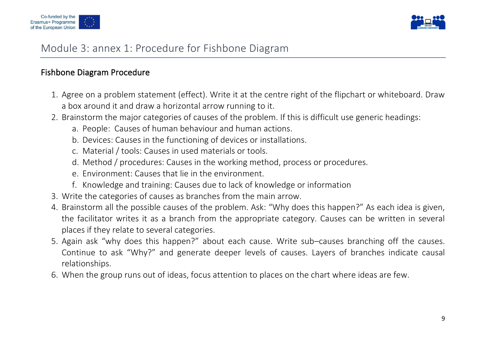



### Module 3: annex 1: Procedure for Fishbone Diagram

### Fishbone Diagram Procedure

- 1. Agree on a problem statement (effect). Write it at the centre right of the flipchart or whiteboard. Draw a box around it and draw a horizontal arrow running to it.
- 2. Brainstorm the major categories of causes of the problem. If this is difficult use generic headings:
	- a. People: Causes of human behaviour and human actions.
	- b. Devices: Causes in the functioning of devices or installations.
	- c. Material / tools: Causes in used materials or tools.
	- d. Method / procedures: Causes in the working method, process or procedures.
	- e. Environment: Causes that lie in the environment.
	- f. Knowledge and training: Causes due to lack of knowledge or information
- 3. Write the categories of causes as branches from the main arrow.
- 4. Brainstorm all the possible causes of the problem. Ask: "Why does this happen?" As each idea is given, the facilitator writes it as a branch from the appropriate category. Causes can be written in several places if they relate to several categories.
- 5. Again ask "why does this happen?" about each cause. Write sub–causes branching off the causes. Continue to ask "Why?" and generate deeper levels of causes. Layers of branches indicate causal relationships.
- 6. When the group runs out of ideas, focus attention to places on the chart where ideas are few.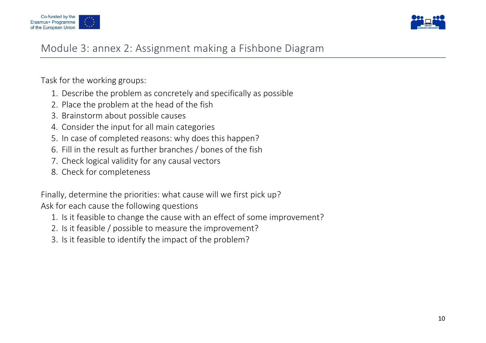



### Module 3: annex 2: Assignment making a Fishbone Diagram

Task for the working groups:

- 1. Describe the problem as concretely and specifically as possible
- 2. Place the problem at the head of the fish
- 3. Brainstorm about possible causes
- 4. Consider the input for all main categories
- 5. In case of completed reasons: why does this happen?
- 6. Fill in the result as further branches / bones of the fish
- 7. Check logical validity for any causal vectors
- 8. Check for completeness

Finally, determine the priorities: what cause will we first pick up? Ask for each cause the following questions

- 1. Is it feasible to change the cause with an effect of some improvement?
- 2. Is it feasible / possible to measure the improvement?
- 3. Is it feasible to identify the impact of the problem?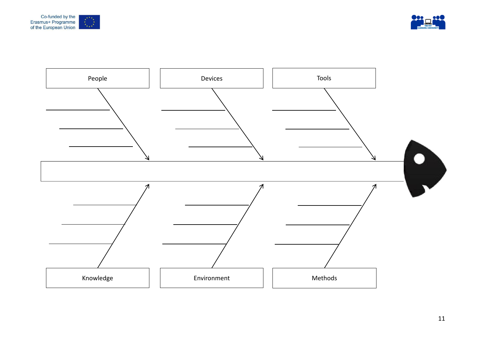



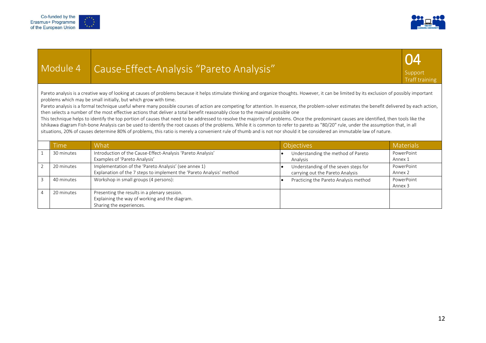



## Module 4 Cause-Effect-Analysis "Pareto Analysis"



Pareto analysis is a creative way of looking at causes of problems because it helps stimulate thinking and organize thoughts. However, it can be limited by its exclusion of possibly important problems which may be small initially, but which grow with time.

Pareto analysis is a formal technique useful where many possible courses of action are competing for attention. In essence, the problem-solver estimates the benefit delivered by each action, then selects a number of the most effective actions that deliver a total benefit reasonably close to the maximal possible one

This technique helps to identify the top portion of causes that need to be addressed to resolve the majority of problems. Once the predominant causes are identified, then tools like the Ishikawa diagram Fish-bone Analysis can be used to identify the root causes of the problems. While it is common to refer to pareto as "80/20" rule, under the assumption that, in all situations, 20% of causes determine 80% of problems, this ratio is merely a convenient rule of thumb and is not nor should it be considered an immutable law of nature.

| Time       | What                                                                 | <b>Objectives</b>                     | <b>Materials</b> |
|------------|----------------------------------------------------------------------|---------------------------------------|------------------|
| 30 minutes | Introduction of the Cause-Effect-Analysis 'Pareto Analysis'          | Understanding the method of Pareto    | PowerPoint       |
|            | Examples of 'Pareto Analysis'                                        | Analysis                              | Annex 1          |
| 20 minutes | Implementation of the 'Pareto Analysis' (see annex 1)                | Understanding of the seven steps for  | PowerPoint       |
|            | Explanation of the 7 steps to implement the 'Pareto Analysis' method | carrying out the Pareto Analysis      | Annex 2          |
| 40 minutes | Workshop in small groups (4 persons):                                | Practicing the Pareto Analysis method | PowerPoint       |
|            |                                                                      |                                       | Annex 3          |
| 20 minutes | Presenting the results in a plenary session.                         |                                       |                  |
|            | Explaining the way of working and the diagram.                       |                                       |                  |
|            | Sharing the experiences.                                             |                                       |                  |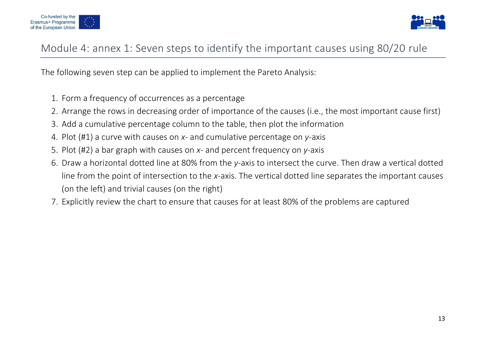



### Module 4: annex 1: Seven steps to identify the important causes using 80/20 rule

The following seven step can be applied to implement the Pareto Analysis:

- 1. Form a frequency of occurrences as a percentage
- 2. Arrange the rows in decreasing order of importance of the causes (i.e., the most important cause first)
- 3. Add a cumulative percentage column to the table, then plot the information
- 4. Plot (#1) a curve with causes on *x* and cumulative percentage on *y*-axis
- 5. Plot (#2) a bar graph with causes on *x* and percent frequency on *y*-axis
- 6. Draw a horizontal dotted line at 80% from the *y*-axis to intersect the curve. Then draw a vertical dotted line from the point of intersection to the *x*-axis. The vertical dotted line separates the important causes (on the left) and trivial causes (on the right)
- 7. Explicitly review the chart to ensure that causes for at least 80% of the problems are captured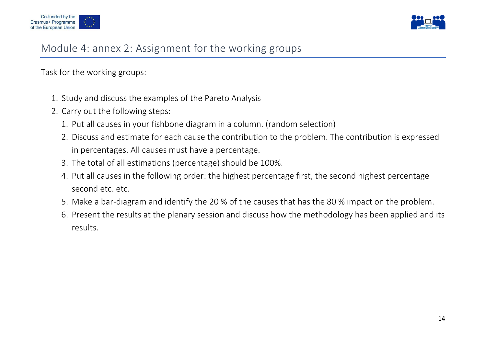



### Module 4: annex 2: Assignment for the working groups

Task for the working groups:

- 1. Study and discuss the examples of the Pareto Analysis
- 2. Carry out the following steps:
	- 1. Put all causes in your fishbone diagram in a column. (random selection)
	- 2. Discuss and estimate for each cause the contribution to the problem. The contribution is expressed in percentages. All causes must have a percentage.
	- 3. The total of all estimations (percentage) should be 100%.
	- 4. Put all causes in the following order: the highest percentage first, the second highest percentage second etc. etc.
	- 5. Make a bar-diagram and identify the 20 % of the causes that has the 80 % impact on the problem.
	- 6. Present the results at the plenary session and discuss how the methodology has been applied and its results.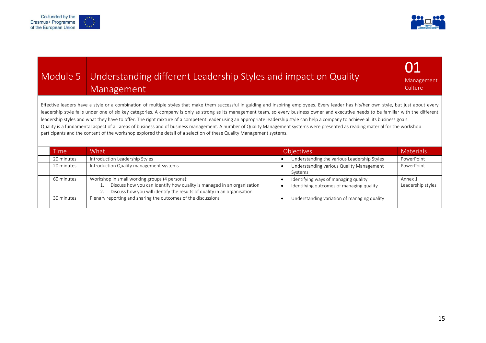



## Module 5 Understanding different Leadership Styles and impact on Quality Management

01 Management Culture

Effective leaders have a style or a combination of multiple styles that make them successful in guiding and inspiring employees. Every leader has his/her own style, but just about every leadership style falls under one of six key categories. A company is only as strong as its management team, so every business owner and executive needs to be familiar with the different leadership styles and what they have to offer. The right mixture of a competent leader using an appropriate leadership style can help a company to achieve all its business goals. Quality is a fundamental aspect of all areas of business and of business management. A number of Quality Management systems were presented as reading material for the workshop participants and the content of the workshop explored the detail of a selection of these Quality Management systems.

| Timel      | What                                                                                                                                                                                               | <b>Objectives</b><br><b>Materials</b>                                                                            |
|------------|----------------------------------------------------------------------------------------------------------------------------------------------------------------------------------------------------|------------------------------------------------------------------------------------------------------------------|
| 20 minutes | Introduction Leadership Styles                                                                                                                                                                     | PowerPoint<br>Understanding the various Leadership Styles                                                        |
| 20 minutes | Introduction Quality management systems                                                                                                                                                            | Understanding various Quality Management<br>PowerPoint<br>Systems                                                |
| 60 minutes | Workshop in small working groups (4 persons):<br>Discuss how you can Identify how quality is managed in an organisation<br>Discuss how you will identify the results of quality in an organisation | Identifying ways of managing quality<br>Annex 1<br>Leadership styles<br>Identifying outcomes of managing quality |
| 30 minutes | Plenary reporting and sharing the outcomes of the discussions                                                                                                                                      | Understanding variation of managing quality                                                                      |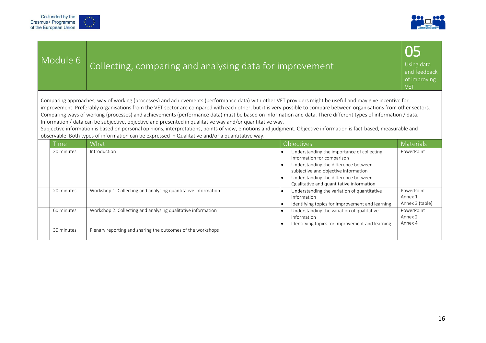



| Module 6                                                                                                                                                                                                                                                                                                                                                                                                                                                                                                                                                                                                                                                                                                                                                                                                                                                                                | Collecting, comparing and analysing data for improvement      |                                                                                                                                                                                                  | 05<br>Using data<br>and feedback<br>of improving<br><b>VET</b> |  |  |
|-----------------------------------------------------------------------------------------------------------------------------------------------------------------------------------------------------------------------------------------------------------------------------------------------------------------------------------------------------------------------------------------------------------------------------------------------------------------------------------------------------------------------------------------------------------------------------------------------------------------------------------------------------------------------------------------------------------------------------------------------------------------------------------------------------------------------------------------------------------------------------------------|---------------------------------------------------------------|--------------------------------------------------------------------------------------------------------------------------------------------------------------------------------------------------|----------------------------------------------------------------|--|--|
| Comparing approaches, way of working (processes) and achievements (performance data) with other VET providers might be useful and may give incentive for<br>improvement. Preferably organisations from the VET sector are compared with each other, but it is very possible to compare between organisations from other sectors.<br>Comparing ways of working (processes) and achievements (performance data) must be based on information and data. There different types of information / data.<br>Information / data can be subjective, objective and presented in qualitative way and/or quantitative way.<br>Subjective information is based on personal opinions, interpretations, points of view, emotions and judgment. Objective information is fact-based, measurable and<br>observable. Both types of information can be expressed in Qualitative and/or a quantitative way. |                                                               |                                                                                                                                                                                                  |                                                                |  |  |
| Time                                                                                                                                                                                                                                                                                                                                                                                                                                                                                                                                                                                                                                                                                                                                                                                                                                                                                    | What                                                          | <b>Objectives</b>                                                                                                                                                                                | <b>Materials</b>                                               |  |  |
|                                                                                                                                                                                                                                                                                                                                                                                                                                                                                                                                                                                                                                                                                                                                                                                                                                                                                         |                                                               |                                                                                                                                                                                                  |                                                                |  |  |
| 20 minutes                                                                                                                                                                                                                                                                                                                                                                                                                                                                                                                                                                                                                                                                                                                                                                                                                                                                              | Introduction                                                  | Understanding the importance of collecting<br>information for comparison<br>Understanding the difference between<br>subjective and objective information<br>Understanding the difference between | PowerPoint                                                     |  |  |
| 20 minutes                                                                                                                                                                                                                                                                                                                                                                                                                                                                                                                                                                                                                                                                                                                                                                                                                                                                              | Workshop 1: Collecting and analysing quantitative information | Qualitative and quantitative information<br>Understanding the variation of quantitative<br>information<br>Identifying topics for improvement and learning                                        | PowerPoint<br>Annex 1<br>Annex 3 (table)                       |  |  |
| 60 minutes                                                                                                                                                                                                                                                                                                                                                                                                                                                                                                                                                                                                                                                                                                                                                                                                                                                                              | Workshop 2: Collecting and analysing qualitative information  | Understanding the variation of qualitative<br>information<br>Identifying topics for improvement and learning                                                                                     | PowerPoint<br>Annex 2<br>Annex 4                               |  |  |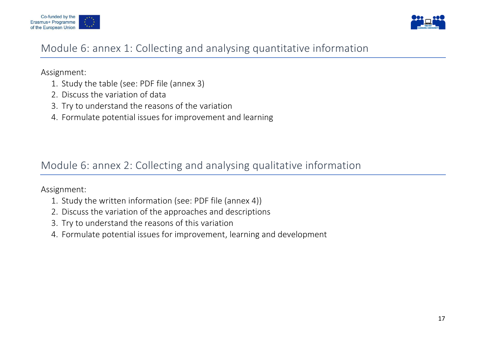



### Module 6: annex 1: Collecting and analysing quantitative information

Assignment:

- 1. Study the table (see: PDF file (annex 3)
- 2. Discuss the variation of data
- 3. Try to understand the reasons of the variation
- 4. Formulate potential issues for improvement and learning

Module 6: annex 2: Collecting and analysing qualitative information

Assignment:

- 1. Study the written information (see: PDF file (annex 4))
- 2. Discuss the variation of the approaches and descriptions
- 3. Try to understand the reasons of this variation
- 4. Formulate potential issues for improvement, learning and development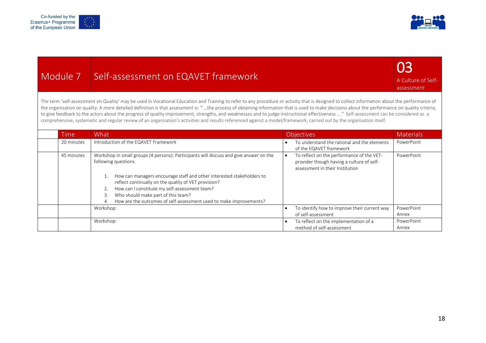



| Module 7   | Self-assessment on EQAVET framework                                                                                                                                                                                                                                                                                                                                                                                                                                                                                                                                                                                                                                                                                                                                 |                                                                                                                                        | 03<br>A Culture of Self-<br>assessment |
|------------|---------------------------------------------------------------------------------------------------------------------------------------------------------------------------------------------------------------------------------------------------------------------------------------------------------------------------------------------------------------------------------------------------------------------------------------------------------------------------------------------------------------------------------------------------------------------------------------------------------------------------------------------------------------------------------------------------------------------------------------------------------------------|----------------------------------------------------------------------------------------------------------------------------------------|----------------------------------------|
|            | The term 'self-assessment on Quality' may be used in Vocational Education and Training to refer to any procedure or activity that is designed to collect information about the performance of<br>the organization on quality. A more detailed definition is that assessment is: "the process of obtaining information that is used to make decisions about the performance on quality criteria,<br>to give feedback to the actors about the progress of quality improvement, strengths, and weaknesses and to judge instructional effectiveness  " Self-assessment can be considered as a<br>comprehensive, systematic and regular review of an organisation's activities and results referenced against a model/framework, carried out by the organisation itself. |                                                                                                                                        |                                        |
| Time       | What                                                                                                                                                                                                                                                                                                                                                                                                                                                                                                                                                                                                                                                                                                                                                                | <b>Objectives</b>                                                                                                                      | <b>Materials</b>                       |
| 20 minutes | Introduction of the EQAVET Framework                                                                                                                                                                                                                                                                                                                                                                                                                                                                                                                                                                                                                                                                                                                                | To understand the rational and the elements<br>$\bullet$<br>of the EQAVET framework                                                    | PowerPoint                             |
| 45 minutes | Workshop in small groups (4 persons): Participants will discuss and give answer on the<br>following questions.                                                                                                                                                                                                                                                                                                                                                                                                                                                                                                                                                                                                                                                      | To reflect on the performance of the VET-<br>$\bullet$<br>provider though having a culture of self-<br>assessment in their Institution | PowerPoint                             |
|            | How can managers encourage staff and other interested stakeholders to<br>1.<br>reflect continually on the quality of VET provision?                                                                                                                                                                                                                                                                                                                                                                                                                                                                                                                                                                                                                                 |                                                                                                                                        |                                        |
|            | How can I constitute my self-assessment team?<br>2.                                                                                                                                                                                                                                                                                                                                                                                                                                                                                                                                                                                                                                                                                                                 |                                                                                                                                        |                                        |
|            | Who should make part of this team?<br>3.                                                                                                                                                                                                                                                                                                                                                                                                                                                                                                                                                                                                                                                                                                                            |                                                                                                                                        |                                        |
|            | How are the outcomes of self-assessment used to make improvements?<br>4.                                                                                                                                                                                                                                                                                                                                                                                                                                                                                                                                                                                                                                                                                            |                                                                                                                                        |                                        |
|            | Workshop:                                                                                                                                                                                                                                                                                                                                                                                                                                                                                                                                                                                                                                                                                                                                                           | To identify how to improve their current way<br>$\bullet$<br>of self-assessment                                                        | PowerPoint<br>Annex                    |
|            | Workshop:                                                                                                                                                                                                                                                                                                                                                                                                                                                                                                                                                                                                                                                                                                                                                           | $\bullet$                                                                                                                              | PowerPoint                             |
|            |                                                                                                                                                                                                                                                                                                                                                                                                                                                                                                                                                                                                                                                                                                                                                                     | To reflect on the implementation of a<br>method of self-assessment                                                                     | Annex                                  |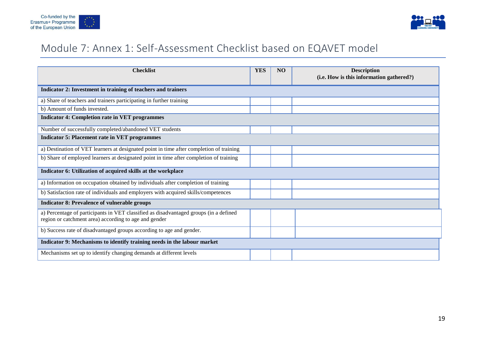



## Module 7: Annex 1: Self-Assessment Checklist based on EQAVET model

| <b>Checklist</b>                                                                                                                               | <b>YES</b> | NO | <b>Description</b><br>(i.e. How is this information gathered?) |  |  |  |  |
|------------------------------------------------------------------------------------------------------------------------------------------------|------------|----|----------------------------------------------------------------|--|--|--|--|
| Indicator 2: Investment in training of teachers and trainers                                                                                   |            |    |                                                                |  |  |  |  |
| a) Share of teachers and trainers participating in further training                                                                            |            |    |                                                                |  |  |  |  |
| b) Amount of funds invested.                                                                                                                   |            |    |                                                                |  |  |  |  |
| <b>Indicator 4: Completion rate in VET programmes</b>                                                                                          |            |    |                                                                |  |  |  |  |
| Number of successfully completed/abandoned VET students                                                                                        |            |    |                                                                |  |  |  |  |
| <b>Indicator 5: Placement rate in VET programmes</b>                                                                                           |            |    |                                                                |  |  |  |  |
| a) Destination of VET learners at designated point in time after completion of training                                                        |            |    |                                                                |  |  |  |  |
| b) Share of employed learners at designated point in time after completion of training                                                         |            |    |                                                                |  |  |  |  |
| Indicator 6: Utilization of acquired skills at the workplace                                                                                   |            |    |                                                                |  |  |  |  |
| a) Information on occupation obtained by individuals after completion of training                                                              |            |    |                                                                |  |  |  |  |
| b) Satisfaction rate of individuals and employers with acquired skills/competences                                                             |            |    |                                                                |  |  |  |  |
| <b>Indicator 8: Prevalence of vulnerable groups</b>                                                                                            |            |    |                                                                |  |  |  |  |
| a) Percentage of participants in VET classified as disadvantaged groups (in a defined<br>region or catchment area) according to age and gender |            |    |                                                                |  |  |  |  |
| b) Success rate of disadvantaged groups according to age and gender.                                                                           |            |    |                                                                |  |  |  |  |
| Indicator 9: Mechanisms to identify training needs in the labour market                                                                        |            |    |                                                                |  |  |  |  |
| Mechanisms set up to identify changing demands at different levels                                                                             |            |    |                                                                |  |  |  |  |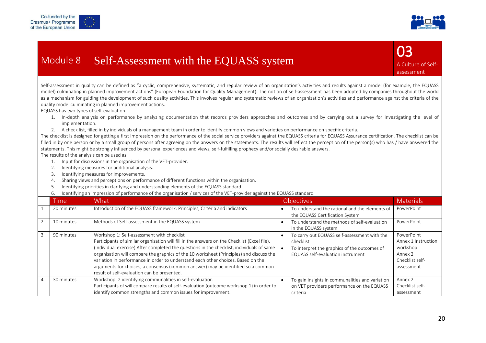



# Module 8 Self-Assessment with the EQUASS system



Self-assessment in quality can be defined as "a cyclic, comprehensive, systematic, and regular review of an organization's activities and results against a model (for example, the EQUASS model) culminating in planned improvement actions" (European Foundation for Quality Management). The notion of self-assessment has been adopted by companies throughout the world as a mechanism for guiding the development of such quality activities. This involves regular and systematic reviews of an organization's activities and performance against the criteria of the quality model culminating in planned improvement actions.

EQUASS has two types of self-evaluation.

- 1. In-depth analysis on performance by analyzing documentation that records providers approaches and outcomes and by carrying out a survey for investigating the level of implementation.
- 2. A check list, filled in by individuals of a management team in order to identify common views and varieties on performance on specific criteria.

The checklist is designed for getting a first impression on the performance of the social service providers against the EQUASS criteria for EQUASS Assurance certification. The checklist can be filled in by one person or by a small group of persons after agreeing on the answers on the statements. The results will reflect the perception of the person(s) who has / have answered the statements. This might be strongly influenced by personal experiences and views, self-fulfilling prophecy and/or socially desirable answers.

The results of the analysis can be used as:

- 1. Input for discussions in the organisation of the VET-provider.
- 2. Identifying measures for additional analysis.
- 3. Identifying measures for improvements.
- 4. Sharing views and perceptions on performance of different functions within the organisation.
- 5. Identifying priorities in clarifying and understanding elements of the EQUASS standard.
- 6. Identifying an impression of performance of the organisation / services of the VET-provider against the EQUASS standard.

|                | Time       | What                                                                                                                                                                                                                                                                                                                                                                                                                                                                                                                                                      | <b>Objectives</b>                                                                                                                              | <b>Materials</b>                                                                          |
|----------------|------------|-----------------------------------------------------------------------------------------------------------------------------------------------------------------------------------------------------------------------------------------------------------------------------------------------------------------------------------------------------------------------------------------------------------------------------------------------------------------------------------------------------------------------------------------------------------|------------------------------------------------------------------------------------------------------------------------------------------------|-------------------------------------------------------------------------------------------|
|                | 20 minutes | Introduction of the EQUASS framework: Principles, Criteria and indicators                                                                                                                                                                                                                                                                                                                                                                                                                                                                                 | To understand the rational and the elements of<br>the EQUASS Certification System                                                              | PowerPoint                                                                                |
|                | 10 minutes | Methods of Self-assessment in the EQUASS system                                                                                                                                                                                                                                                                                                                                                                                                                                                                                                           | To understand the methods of self-evaluation<br>in the EQUASS system                                                                           | PowerPoint                                                                                |
| 3              | 90 minutes | Workshop 1: Self-assessment with checklist<br>Participants of similar organisation will fill in the answers on the Checklist (Excel file).<br>(Individual exercise) After completed the questions in the checklist, individuals of same<br>organisation will compare the graphics of the 10 worksheet (Principles) and discuss the<br>variation in performance in order to understand each other choices. Based on the<br>arguments for choices, a consensus (common answer) may be identified so a common<br>result of self-evaluation can be presented. | To carry out EQUASS self-assessment with the<br>checklist<br>To interpret the graphics of the outcomes of<br>EQUASS self-evaluation instrument | PowerPoint<br>Annex 1 Instruction<br>workshop<br>Annex 2<br>Checklist self-<br>assessment |
| $\overline{4}$ | 30 minutes | Workshop: 2 identifying communalities in self-evaluation<br>Participants of will compare results of self-evaluation (outcome workshop 1) in order to<br>identify common strengths and common issues for improvement.                                                                                                                                                                                                                                                                                                                                      | To gain insights in communalities and variation<br>on VET providers performance on the EQUASS<br>criteria                                      | Annex 2<br>Checklist self-<br>assessment                                                  |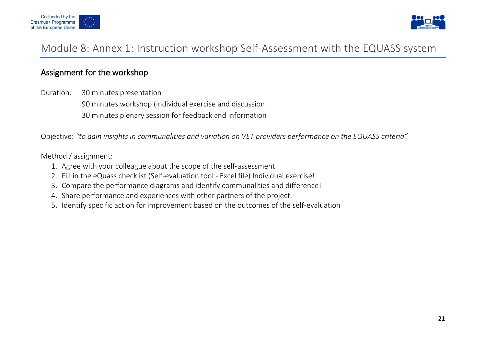



### Module 8: Annex 1: Instruction workshop Self-Assessment with the EQUASS system

### Assignment for the workshop

Duration: 30 minutes presentation 90 minutes workshop (individual exercise and discussion 30 minutes plenary session for feedback and information

Objective: *"to gain insights in communalities and variation on VET providers performance on the EQUASS criteria"*

#### Method / assignment:

- 1. Agree with your colleague about the scope of the self-assessment
- 2. Fill in the eQuass checklist (Self-evaluation tool Excel file) Individual exercise!
- 3. Compare the performance diagrams and identify communalities and difference!
- 4. Share performance and experiences with other partners of the project.
- 5. Identify specific action for improvement based on the outcomes of the self-evaluation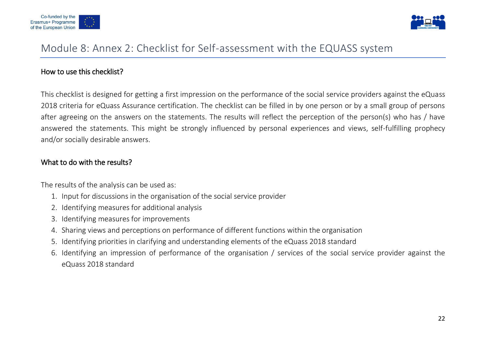



### Module 8: Annex 2: Checklist for Self-assessment with the EQUASS system

#### How to use this checklist?

This checklist is designed for getting a first impression on the performance of the social service providers against the eQuass 2018 criteria for eQuass Assurance certification. The checklist can be filled in by one person or by a small group of persons after agreeing on the answers on the statements. The results will reflect the perception of the person(s) who has / have answered the statements. This might be strongly influenced by personal experiences and views, self-fulfilling prophecy and/or socially desirable answers.

#### What to do with the results?

The results of the analysis can be used as:

- 1. Input for discussions in the organisation of the social service provider
- 2. Identifying measures for additional analysis
- 3. Identifying measures for improvements
- 4. Sharing views and perceptions on performance of different functions within the organisation
- 5. Identifying priorities in clarifying and understanding elements of the eQuass 2018 standard
- 6. Identifying an impression of performance of the organisation / services of the social service provider against the eQuass 2018 standard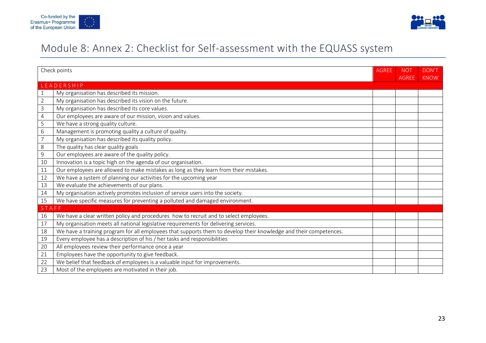



# Module 8: Annex 2: Checklist for Self-assessment with the EQUASS system

| Check points   |                                                                                                                   | <b>AGREE</b> | <b>NOT</b>   | DON'T       |
|----------------|-------------------------------------------------------------------------------------------------------------------|--------------|--------------|-------------|
|                | LEADERSHIP                                                                                                        |              | <b>AGREE</b> | <b>KNOW</b> |
| 1              | My organisation has described its mission.                                                                        |              |              |             |
| $\overline{2}$ | My organisation has described its vision on the future.                                                           |              |              |             |
| 3              | My organisation has described its core values.                                                                    |              |              |             |
| $\overline{4}$ | Our employees are aware of our mission, vision and values.                                                        |              |              |             |
| 5              | We have a strong quality culture.                                                                                 |              |              |             |
| 6              | Management is promoting quality a culture of quality.                                                             |              |              |             |
| 7              | My organisation has described its quality policy.                                                                 |              |              |             |
| 8              | The quality has clear quality goals                                                                               |              |              |             |
| 9              | Our employees are aware of the quality policy.                                                                    |              |              |             |
| 10             | Innovation is a topic high on the agenda of our organisation.                                                     |              |              |             |
| 11             | Our employees are allowed to make mistakes as long as they learn from their mistakes.                             |              |              |             |
| 12             | We have a system of planning our activities for the upcoming year                                                 |              |              |             |
| 13             | We evaluate the achievements of our plans.                                                                        |              |              |             |
| 14             | My organisation actively promotes inclusion of service users into the society.                                    |              |              |             |
| 15             | We have specific measures for preventing a polluted and damaged environment.                                      |              |              |             |
| STAFF          |                                                                                                                   |              |              |             |
| 16             | We have a clear written policy and procedures how to recruit and to select employees.                             |              |              |             |
| 17             | My organisation meets all national legislative requirements for delivering services.                              |              |              |             |
| 18             | We have a training program for all employees that supports them to develop their knowledge and their competences. |              |              |             |
| 19             | Every employee has a description of his / her tasks and responsibilities                                          |              |              |             |
| 20             | All employees review their performance once a year                                                                |              |              |             |
| 21             | Employees have the opportunity to give feedback.                                                                  |              |              |             |
| 22             | We belief that feedback of employees is a valuable input for improvements.                                        |              |              |             |
| 23             | Most of the employees are motivated in their job.                                                                 |              |              |             |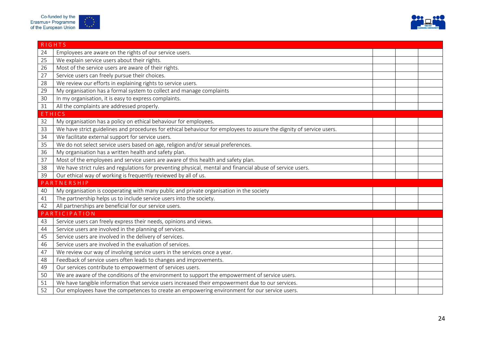



|               | <b>RIGHTS</b>                                                                                                        |  |  |
|---------------|----------------------------------------------------------------------------------------------------------------------|--|--|
| 24            | Employees are aware on the rights of our service users.                                                              |  |  |
| 25            | We explain service users about their rights.                                                                         |  |  |
| 26            | Most of the service users are aware of their rights.                                                                 |  |  |
| 27            | Service users can freely pursue their choices.                                                                       |  |  |
| 28            | We review our efforts in explaining rights to service users.                                                         |  |  |
| 29            | My organisation has a formal system to collect and manage complaints                                                 |  |  |
| 30            | In my organisation, it is easy to express complaints.                                                                |  |  |
| 31            | All the complaints are addressed properly.                                                                           |  |  |
| <b>ETHICS</b> |                                                                                                                      |  |  |
| 32            | My organisation has a policy on ethical behaviour for employees.                                                     |  |  |
| 33            | We have strict guidelines and procedures for ethical behaviour for employees to assure the dignity of service users. |  |  |
| 34            | We facilitate external support for service users.                                                                    |  |  |
| 35            | We do not select service users based on age, religion and/or sexual preferences.                                     |  |  |
| 36            | My organisation has a written health and safety plan.                                                                |  |  |
| 37            | Most of the employees and service users are aware of this health and safety plan.                                    |  |  |
| 38            | We have strict rules and regulations for preventing physical, mental and financial abuse of service users.           |  |  |
| 39            | Our ethical way of working is frequently reviewed by all of us.                                                      |  |  |
|               | PARTNERSHIP                                                                                                          |  |  |
| 40            | My organisation is cooperating with many public and private organisation in the society                              |  |  |
| 41            | The partnership helps us to include service users into the society.                                                  |  |  |
| 42            | All partnerships are beneficial for our service users.                                                               |  |  |
|               | PARTICIPATION                                                                                                        |  |  |
| 43            | Service users can freely express their needs, opinions and views.                                                    |  |  |
| 44            | Service users are involved in the planning of services.                                                              |  |  |
| 45            | Service users are involved in the delivery of services.                                                              |  |  |
| 46            | Service users are involved in the evaluation of services.                                                            |  |  |
| 47            | We review our way of involving service users in the services once a year.                                            |  |  |
| 48            | Feedback of service users often leads to changes and improvements.                                                   |  |  |
| 49            | Our services contribute to empowerment of services users.                                                            |  |  |
| 50            | We are aware of the conditions of the environment to support the empowerment of service users.                       |  |  |
| 51            | We have tangible information that service users increased their empowerment due to our services.                     |  |  |
| 52            | Our employees have the competences to create an empowering environment for our service users.                        |  |  |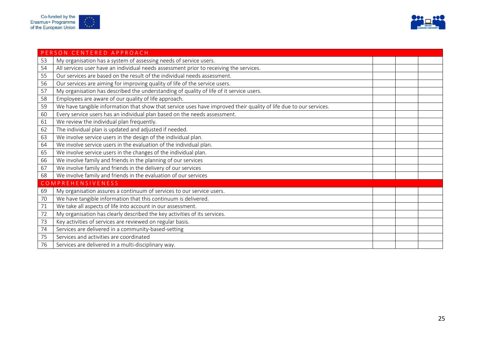

|    | PERSON CENTERED APPROACH                                                                                          |  |  |
|----|-------------------------------------------------------------------------------------------------------------------|--|--|
| 53 | My organisation has a system of assessing needs of service users.                                                 |  |  |
| 54 | All services user have an individual needs assessment prior to receiving the services.                            |  |  |
| 55 | Our services are based on the result of the individual needs assessment.                                          |  |  |
| 56 | Our services are aiming for improving quality of life of the service users.                                       |  |  |
| 57 | My organisation has described the understanding of quality of life of it service users.                           |  |  |
| 58 | Employees are aware of our quality of life approach.                                                              |  |  |
| 59 | We have tangible information that show that service uses have improved their quality of life due to our services. |  |  |
| 60 | Every service users has an individual plan based on the needs assessment.                                         |  |  |
| 61 | We review the individual plan frequently.                                                                         |  |  |
| 62 | The individual plan is updated and adjusted if needed.                                                            |  |  |
| 63 | We involve service users in the design of the individual plan.                                                    |  |  |
| 64 | We involve service users in the evaluation of the individual plan.                                                |  |  |
| 65 | We involve service users in the changes of the individual plan.                                                   |  |  |
| 66 | We involve family and friends in the planning of our services                                                     |  |  |
| 67 | We involve family and friends in the delivery of our services                                                     |  |  |
| 68 | We involve family and friends in the evaluation of our services                                                   |  |  |
|    | COMPREHENSIVENESS                                                                                                 |  |  |
| 69 | My organisation assures a continuum of services to our service users.                                             |  |  |
| 70 | We have tangible information that this continuum is delivered.                                                    |  |  |
| 71 | We take all aspects of life into account in our assessment.                                                       |  |  |
| 72 | My organisation has clearly described the key activities of its services.                                         |  |  |
| 73 | Key activities of services are reviewed on regular basis.                                                         |  |  |
| 74 | Services are delivered in a community-based-setting                                                               |  |  |
| 75 | Services and activities are coordinated                                                                           |  |  |
| 76 | Services are delivered in a multi-disciplinary way.                                                               |  |  |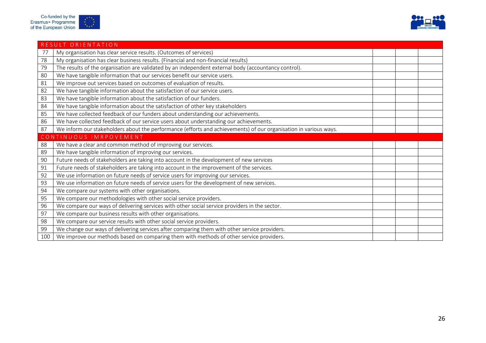

|     | RESULT ORIENTATION                                                                                               |  |  |  |  |
|-----|------------------------------------------------------------------------------------------------------------------|--|--|--|--|
| 77  | My organisation has clear service results. (Outcomes of services)                                                |  |  |  |  |
| 78  | My organisation has clear business results. (Financial and non-financial results)                                |  |  |  |  |
| 79  | The results of the organisation are validated by an independent external body (accountancy control).             |  |  |  |  |
| 80  | We have tangible information that our services benefit our service users.                                        |  |  |  |  |
| 81  | We improve out services based on outcomes of evaluation of results.                                              |  |  |  |  |
| 82  | We have tangible information about the satisfaction of our service users.                                        |  |  |  |  |
| 83  | We have tangible information about the satisfaction of our funders.                                              |  |  |  |  |
| 84  | We have tangible information about the satisfaction of other key stakeholders                                    |  |  |  |  |
| 85  | We have collected feedback of our funders about understanding our achievements.                                  |  |  |  |  |
| 86  | We have collected feedback of our service users about understanding our achievements.                            |  |  |  |  |
| 87  | We inform our stakeholders about the performance (efforts and achievements) of our organisation in various ways. |  |  |  |  |
|     | CONTINUOUS IMRPOVEMENT                                                                                           |  |  |  |  |
| 88  | We have a clear and common method of improving our services.                                                     |  |  |  |  |
| 89  | We have tangible information of improving our services.                                                          |  |  |  |  |
| 90  | Future needs of stakeholders are taking into account in the development of new services                          |  |  |  |  |
| 91  | Future needs of stakeholders are taking into account in the improvement of the services.                         |  |  |  |  |
| 92  | We use information on future needs of service users for improving our services.                                  |  |  |  |  |
| 93  | We use information on future needs of service users for the development of new services.                         |  |  |  |  |
| 94  | We compare our systems with other organisations.                                                                 |  |  |  |  |
| 95  | We compare our methodologies with other social service providers.                                                |  |  |  |  |
| 96  | We compare our ways of delivering services with other social service providers in the sector.                    |  |  |  |  |
| 97  | We compare our business results with other organisations.                                                        |  |  |  |  |
| 98  | We compare our service results with other social service providers.                                              |  |  |  |  |
| 99  | We change our ways of delivering services after comparing them with other service providers.                     |  |  |  |  |
| 100 | We improve our methods based on comparing them with methods of other service providers.                          |  |  |  |  |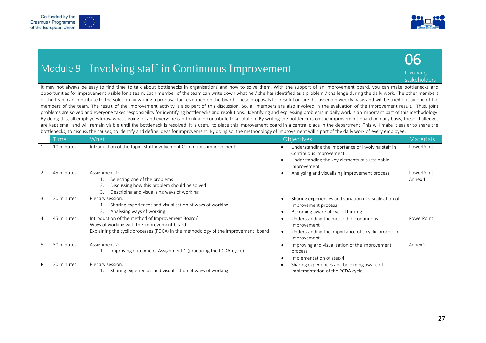



|  |  | Module 9   Involving staff in Continuous Improvement |
|--|--|------------------------------------------------------|
|--|--|------------------------------------------------------|



It may not always be easy to find time to talk about bottlenecks in organisations and how to solve them. With the support of an improvement board, you can make bottlenecks and opportunities for improvement visible for a team. Each member of the team can write down what he / she has identified as a problem / challenge during the daily work. The other members of the team can contribute to the solution by writing a proposal for resolution on the board. These proposals for resolution are discussed on weekly basis and will be tried out by one of the members of the team. The result of the improvement activity is also part of this discussion. So, all members are also involved in the evaluation of the improvement result. Thus, joint problems are solved and everyone takes responsibility for identifying bottlenecks and resolutions. Identifying and expressing problems in daily work is an important part of this methodology. By doing this, all employees know what's going on and everyone can think and contribute to a solution. By writing the bottlenecks on the improvement board on daily basis, these challenges are kept small and will remain visible until the bottleneck is resolved. It is useful to place this improvement board in a central place in the department. This will make it easier to share the bottlenecks, to discuss the causes, to identify and define ideas for improvement. By doing so, the methodology of improvement will a part of the daily work of every employee.

|   | <b>Time</b> | What                                                                                                                                                                                 | Objectives                                                                                                                                   | Materials             |
|---|-------------|--------------------------------------------------------------------------------------------------------------------------------------------------------------------------------------|----------------------------------------------------------------------------------------------------------------------------------------------|-----------------------|
|   | 10 minutes  | Introduction of the topic 'Staff-involvement Continuous improvement'                                                                                                                 | Understanding the importance of involving staff in<br>Continuous improvement<br>Understanding the key elements of sustainable<br>improvement | PowerPoint            |
| 2 | 45 minutes  | Assignment 1:<br>Selecting one of the problems<br>Discussing how this problem should be solved<br>Describing and visualising ways of working<br>3.                                   | Analysing and visualising improvement process                                                                                                | PowerPoint<br>Annex 1 |
| 3 | 30 minutes  | Plenary session:<br>Sharing experiences and visualisation of ways of working<br>Analysing ways of working                                                                            | Sharing experiences and variation of visualisation of<br>improvement process<br>Becoming aware of cyclic thinking                            |                       |
| 4 | 45 minutes  | Introduction of the method of Improvement Board/<br>Ways of working with the Improvement board<br>Explaining the cyclic processes (PDCA) in the methodology of the Improvement board | Understanding the method of continuous<br>improvement<br>Understanding the importance of a cyclic process in<br>improvement                  | PowerPoint            |
| 5 | 30 minutes  | Assignment 2:<br>Improving outcome of Assignment 1 (practicing the PCDA-cycle)                                                                                                       | Improving and visualisation of the improvement<br>process<br>Implementation of step 4<br>і е                                                 | Annex 2               |
| 6 | 30 minutes  | Plenary session:<br>Sharing experiences and visualisation of ways of working                                                                                                         | Sharing experiences and becoming aware of<br>implementation of the PCDA cycle                                                                |                       |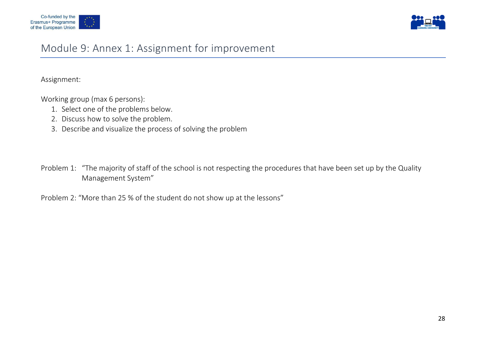



### Module 9: Annex 1: Assignment for improvement

Assignment:

Working group (max 6 persons):

- 1. Select one of the problems below.
- 2. Discuss how to solve the problem.
- 3. Describe and visualize the process of solving the problem
- Problem 1: "The majority of staff of the school is not respecting the procedures that have been set up by the Quality Management System"

Problem 2: "More than 25 % of the student do not show up at the lessons"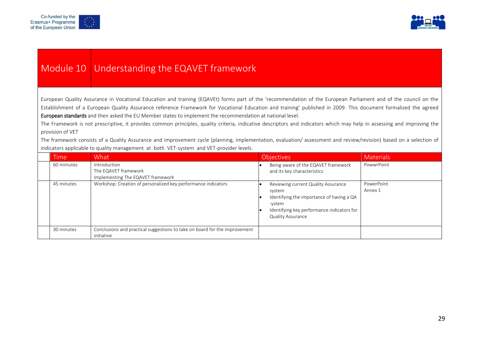



### Module 10 Understanding the EQAVET framework

European Quality Assurance in Vocational Education and training (EQAVEt) forms part of the 'recommendation of the European Parliament and of the council on the Establishment of a European Quality Assurance reference Framework for Vocational Education and training' published in 2009. This document formalized the agreed European standards and then asked the EU Member states to implement the recommendation at national level.

The Framework is not prescriptive, it provides common principles, quality criteria, indicative descriptors and indicators which may help in assessing and improving the provision of VET

The framework consists of a Quality Assurance and improvement cycle (planning, implementation, evaluation/ assessment and review/revision) based on a selection of indicators applicable to quality management at both VET-system and VET-provider levels.

| <b>Time</b> | What                                                                                     | <b>Objectives</b>                                                                                                                                                              | <b>Materials</b>      |
|-------------|------------------------------------------------------------------------------------------|--------------------------------------------------------------------------------------------------------------------------------------------------------------------------------|-----------------------|
| 60 miniutes | Introduction<br>The EQAVET framework<br>Implementing The EQAVET framework                | Being aware of the EQAVET framework<br>and its key characteristics                                                                                                             | PowwrPoint            |
| 45 minutes  | Workshop: Creation of personalized key performance indicators                            | Reviewing current Quality Assurance<br>system<br>Identifying the importance of having a QA<br>-vstem<br>Identifying key performance indicators for<br><b>Quality Assurance</b> | PowerPoint<br>Annex 1 |
| 30 minutes  | Conclusions and practical suggestions to take on board for the improvement<br>initiative |                                                                                                                                                                                |                       |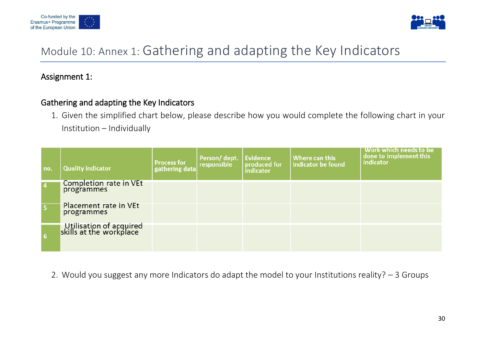



# Module 10: Annex 1: Gathering and adapting the Key Indicators

### Assignment 1:

### Gathering and adapting the Key Indicators

1. Given the simplified chart below, please describe how you would complete the following chart in your Institution – Individually

| no.            | <b>Quality indicator</b>                           | <b>Process for</b><br>gathering data | Person/dept.<br>responsible | Evidence<br>produced for<br><i>indicator</i> | Where can this<br>indicator be found | Work which needs to be<br>done to implement this<br>indicator |
|----------------|----------------------------------------------------|--------------------------------------|-----------------------------|----------------------------------------------|--------------------------------------|---------------------------------------------------------------|
| $\overline{4}$ | Completion rate in VEt<br>programmes               |                                      |                             |                                              |                                      |                                                               |
| 5              | Placement rate in VEt<br>programmes                |                                      |                             |                                              |                                      |                                                               |
| l 61           | Utilisation of acquired<br>skills at the workplace |                                      |                             |                                              |                                      |                                                               |

2. Would you suggest any more Indicators do adapt the model to your Institutions reality? – 3 Groups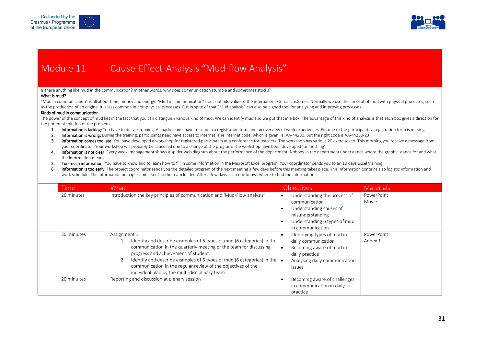



## Module 11 Cause-Effect-Analysis "Mud-flow Analysis"

Is there anything like mud in the communication? In other words, why does communication stumble and sometimes stocks?

#### What is mud?

"Mud in communication" is all about time, money and energy. "Mud in communication" does not add value to the internal or external customer. Normally we use the concept of mud with physical processes, such as the production of an engine. It is less common in non-physical processes. But in spite of that "Mud analysis" can also be a good tool for analyzing and improving processes.

#### Kinds of mud in communication

The power of the concept of mud lies in the fact that you can distinguish various kind of mud. We can identify mud and we put that in a box. The advantage of this kind of analysis is that each box gives a direction for the potential solution of the problem

- 1. Information is lacking: You have to deliver training. All participants have to send in a registration form and an overview of work experiences. For one of the participants a registration form is missing.
- 2. Information is wrong: During the training, participants need have access to internet. The internet code, which is given, is: AA-44280. But the right code is AA-44380-23
- 3. Information comes too late: You have developed a workshop for registered participants at a conference for teachers. The workshop has various 20 exercises to. This morning you receive a message from your coordinator. Your workshop will probably be cancelled due to a change of the program. The workshop have been developed for 'nothing'.
- 4. Information is not clear: Every week, management shows a spider web diagram about the performance of the department. Nobody in the department understands where the graphic stands for and what the information means.
- 5. Too much information: You have to know and to learn how to fill in some information in the Microsoft Excel program. Your coordinator sends you to an 10 days Excel training.
- 6. Information is too early: The project coordinator sends you the detailed program of the next meeting a few days before this meeting takes place. This information contains also logistic information and work schedule. The information on paper and is sent to the team leader. After a few days … no one knows where to find the information.

| Time        | What                                                                                                                                                                                                                                                                                                                                                                                                                | <b>Objectives</b>                                                                                                                                | <b>Materials</b>      |
|-------------|---------------------------------------------------------------------------------------------------------------------------------------------------------------------------------------------------------------------------------------------------------------------------------------------------------------------------------------------------------------------------------------------------------------------|--------------------------------------------------------------------------------------------------------------------------------------------------|-----------------------|
| 20 minutes  | Introduction the key principles of communication and 'Mud-Flow analysis"                                                                                                                                                                                                                                                                                                                                            | Understanding the process of<br>communication<br>Understanding causes of<br>misunderstanding<br>Understanding 6 types of mud<br>in communication | PowerPoint<br>Movie   |
| 30 miniutes | Assignment 1:<br>Identify and describe examples of 6 types of mud (6 categories) in the<br>communication in the quarterly meeting of the team for discussing<br>progress and achievement of student.<br>Identify and describe examples of 6 types of mud (6 categories) in the $\vert_{\bullet}$<br>communication in the regular review of the objectives of the<br>individual plan by the multi-disciplinary team. | Identifying types of mud in<br>daily communication<br>Becoming aware of mud in<br>daily practice<br>Analysing daily communication<br>issues      | PowerPoint<br>Annex 1 |
| 20 minuites | Reporting and discussion at plenary session                                                                                                                                                                                                                                                                                                                                                                         | Becoming aware of challenges<br>in communication in daily<br>practice                                                                            |                       |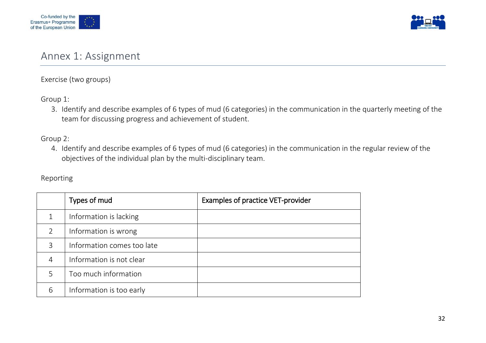



### Annex 1: Assignment

Exercise (two groups)

Group 1:

3. Identify and describe examples of 6 types of mud (6 categories) in the communication in the quarterly meeting of the team for discussing progress and achievement of student.

Group 2:

4. Identify and describe examples of 6 types of mud (6 categories) in the communication in the regular review of the objectives of the individual plan by the multi-disciplinary team.

#### Reporting

|   | Types of mud               | <b>Examples of practice VET-provider</b> |
|---|----------------------------|------------------------------------------|
| 1 | Information is lacking     |                                          |
| 2 | Information is wrong       |                                          |
| 3 | Information comes too late |                                          |
| 4 | Information is not clear   |                                          |
| 5 | Too much information       |                                          |
| 6 | Information is too early   |                                          |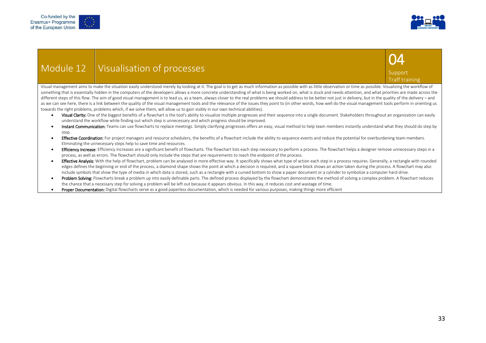



### Module 12 | Visualisation of processes

#### **Support** Traff training

04

Visual management aims to make the situation easily understood merely by looking at it. The goal is to get as much information as possible with as little observation or time as possible. Visualizing the workflow of something that is essentially hidden in the computers of the developers allows a more concrete understanding of what is being worked on, what is stuck and needs attention, and what priorities are made across the different steps of this flow. The aim of good visual management is to lead us, as a team, always closer to the real problems we should address to be better not just in delivery, but in the quality of the delivery – and as we can see here, there is a link between the quality of the visual management tools and the relevance of the issues they point to (in other words, how well do the visual management tools perform in orienting us towards the right problems, problems which, if we solve them, will allow us to gain visibly in our own technical abilities).

- Visual Clarity: One of the biggest benefits of a flowchart is the tool's ability to visualize multiple progresses and their sequence into a single document. Stakeholders throughout an organization can easily understand the workflow while finding out which step is unnecessary and which progress should be improved.
- Instant Communication: Teams can use flowcharts to replace meetings. Simply clarifying progresses offers an easy, visual method to help team members instantly understand what they should do step by step.
- **Effective Coordination:** For project managers and resource schedulers, the benefits of a flowchart include the ability to sequence events and reduce the potential for overburdening team members. Eliminating the unnecessary steps help to save time and resources.
- **Efficiency Increase**: Efficiency increases are a significant benefit of flowcharts. The flowchart lists each step necessary to perform a process. The flowchart helps a designer remove unnecessary steps in a process, as well as errors. The flowchart should only include the steps that are requirements to reach the endpoint of the process.
- Effective Analysis: With the help of flowchart, problem can be analysed in more effective way. It specifically shows what type of action each step in a process requires. Generally, a rectangle with rounded edges defines the beginning or end of the process, a diamond shape shows the point at which a decision is required, and a square block shows an action taken during the process. A flowchart may also include symbols that show the type of media in which data is stored, such as a rectangle with a curved bottom to show a paper document or a cylinder to symbolize a computer hard drive.
- Problem Solving: Flowcharts break a problem up into easily definable parts. The defined process displayed by the flowchart demonstrates the method of solving a complex problem. A flowchart reduces the chance that a necessary step for solving a problem will be left out because it appears obvious. In this way, it reduces cost and wastage of time.
- **Proper Documentation:** Digital flowcharts serve as a good paperless documentation, which is needed for various purposes, making things more efficient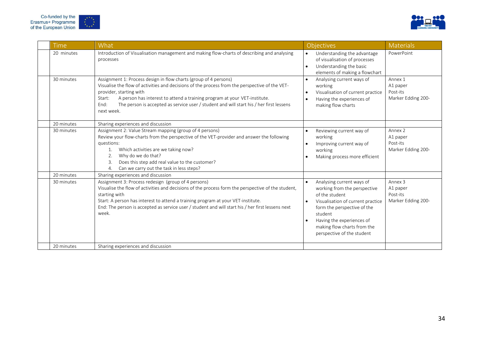



| <b>Time</b> | What                                                                                                                                                                                                                                                                                                                                                                                                  | <b>Objectives</b>                                                                                                                                                                                                                                                              | Materials                                             |
|-------------|-------------------------------------------------------------------------------------------------------------------------------------------------------------------------------------------------------------------------------------------------------------------------------------------------------------------------------------------------------------------------------------------------------|--------------------------------------------------------------------------------------------------------------------------------------------------------------------------------------------------------------------------------------------------------------------------------|-------------------------------------------------------|
| 20 minutes  | Introduction of Visualisation management and making flow-charts of describing and analysing<br>processes                                                                                                                                                                                                                                                                                              | Understanding the advantage<br>$\bullet$<br>of visualisation of processes<br>Understanding the basic<br>$\bullet$<br>elements of making a flowchart                                                                                                                            | PowerPoint                                            |
| 30 minutes  | Assignment 1: Process design in flow charts (group of 4 persons)<br>Visualise the flow of activities and decisions of the process from the perspective of the VET-<br>provider, starting with<br>A person has interest to attend a training program at your VET-institute.<br>Start:<br>End:<br>The person is accepted as service user / student and will start his / her first lessens<br>next week. | Analysing current ways of<br>working<br>Visualisation of current practice<br>Having the experiences of<br>making flow charts                                                                                                                                                   | Annex 1<br>A1 paper<br>Post-its<br>Marker Edding 200- |
| 20 minutes  | Sharing experiences and discussion                                                                                                                                                                                                                                                                                                                                                                    |                                                                                                                                                                                                                                                                                |                                                       |
| 30 minutes  | Assignment 2: Value Stream mapping (group of 4 persons)<br>Review your flow-charts from the perspective of the VET-provider and answer the following<br>questions:<br>Which activities are we taking now?<br>1.<br>Why do we do that?<br>2.<br>Does this step add real value to the customer?<br>3.<br>Can we carry out the task in less steps?<br>4.                                                 | Reviewing current way of<br>$\bullet$<br>working<br>Improving current way of<br>working<br>Making process more efficient                                                                                                                                                       | Annex 2<br>A1 paper<br>Post-its<br>Marker Edding 200- |
| 20 minutes  | Sharing experiences and discussion                                                                                                                                                                                                                                                                                                                                                                    |                                                                                                                                                                                                                                                                                |                                                       |
| 30 minutes  | Assignment 3: Process redesign (group of 4 persons)<br>Visualise the flow of activities and decisions of the process form the perspective of the student,<br>starting with<br>Start: A person has interest to attend a training program at your VET-institute.<br>End: The person is accepted as service user / student and will start his / her first lessens next<br>week.                          | Analysing current ways of<br>$\bullet$<br>working from the perspective<br>of the student<br>Visualisation of current practice<br>$\bullet$<br>form the perspective of the<br>student<br>Having the experiences of<br>making flow charts from the<br>perspective of the student | Annex 3<br>A1 paper<br>Post-its<br>Marker Edding 200- |
| 20 minutes  | Sharing experiences and discussion                                                                                                                                                                                                                                                                                                                                                                    |                                                                                                                                                                                                                                                                                |                                                       |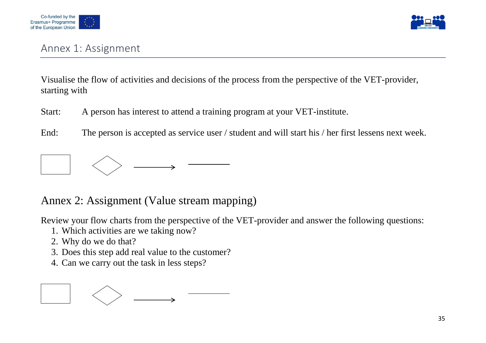



### Annex 1: Assignment

Visualise the flow of activities and decisions of the process from the perspective of the VET-provider, starting with

Start: A person has interest to attend a training program at your VET-institute.

End: The person is accepted as service user / student and will start his / her first lessens next week.



### Annex 2: Assignment (Value stream mapping)

Review your flow charts from the perspective of the VET-provider and answer the following questions:

- 1. Which activities are we taking now?
- 2. Why do we do that?
- 3. Does this step add real value to the customer?
- 4. Can we carry out the task in less steps?

$$
\boxed{\phantom{1.5}\phantom{1.5}} \phantom{1.5}\quad\longleftrightarrow\quad\quad
$$